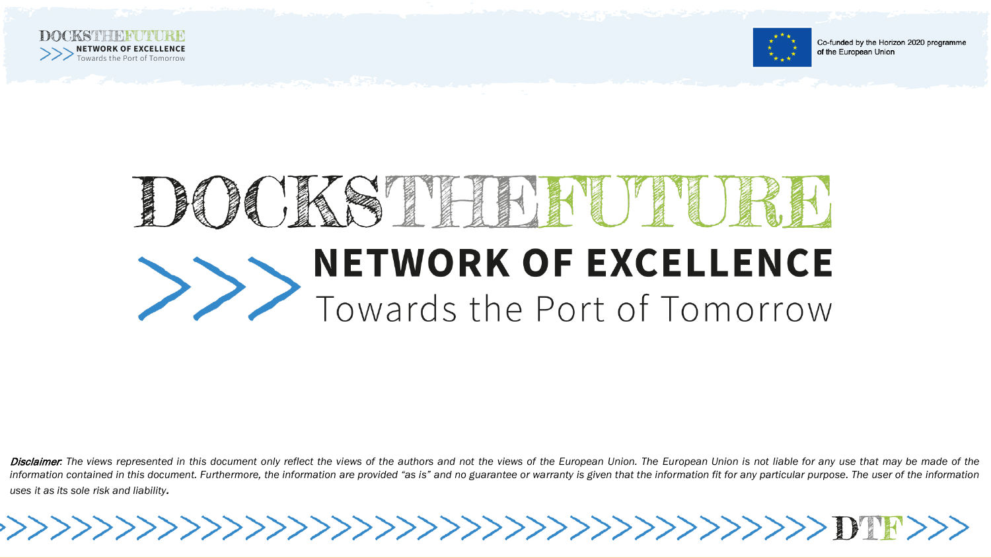

>>>



Co-funded by the Horizon 2020 programme of the European Union

## 长 **FILLER Report NETWORK OF EXCELLENCE** Towards the Port of Tomorrow

Disclaimer. The views represented in this document only reflect the views of the authors and not the views of the European Union. The European Union is not liable for any use that may be made of the information contained in this document. Furthermore, the information are provided "as is" and no guarantee or warranty is given that the information fit for any particular purpose. The user of the information *uses it as its sole risk and liability.*

>>>>>>>>>>>>>>>>>>>>>>>>>>>>>>>>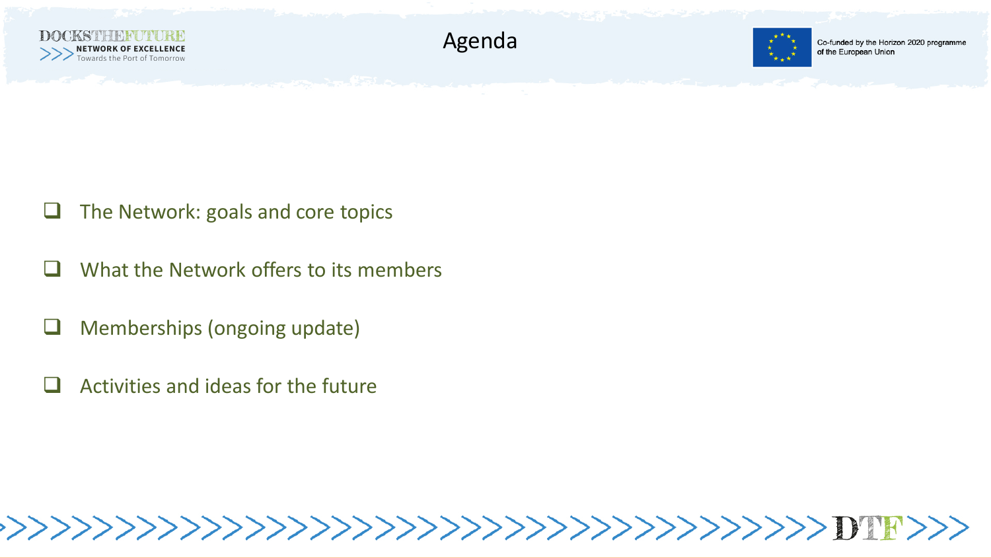



Co-funded by the Horizon 2020 programme of the European Union

- $\Box$  The Network: goals and core topics
- What the Network offers to its members
- Memberships (ongoing update)
- Activities and ideas for the future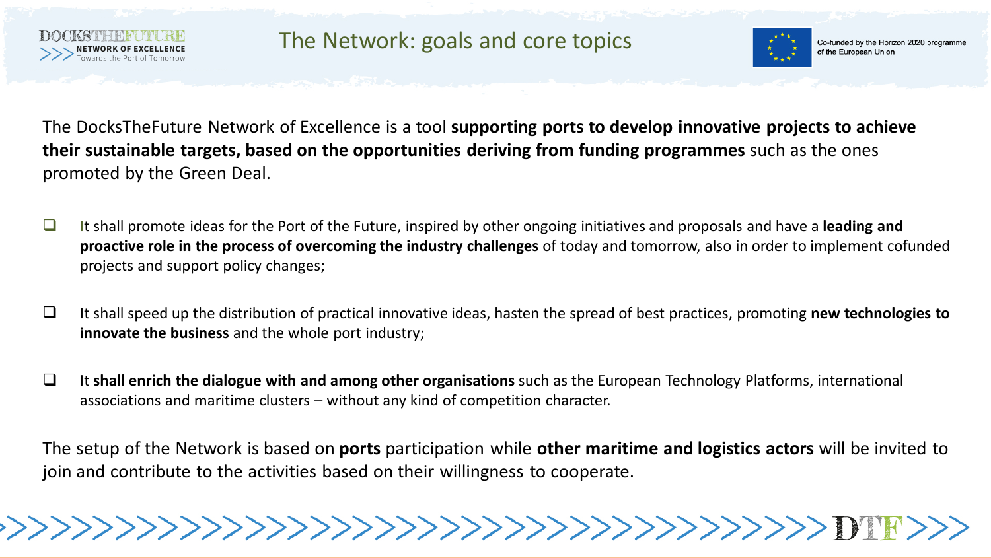

The Network: goals and core topics



Co-funded by the Horizon 2020 programme of the European Union

The DocksTheFuture Network of Excellence is a tool **supporting ports to develop innovative projects to achieve their sustainable targets, based on the opportunities deriving from funding programmes** such as the ones promoted by the Green Deal.

- It shall promote ideas for the Port of the Future, inspired by other ongoing initiatives and proposals and have a **leading and proactive role in the process of overcoming the industry challenges** of today and tomorrow, also in order to implement cofunded projects and support policy changes;
- It shall speed up the distribution of practical innovative ideas, hasten the spread of best practices, promoting **new technologies to innovate the business** and the whole port industry;
- It **shall enrich the dialogue with and among other organisations** such as the European Technology Platforms, international associations and maritime clusters – without any kind of competition character.

The setup of the Network is based on **ports** participation while **other maritime and logistics actors** will be invited to join and contribute to the activities based on their willingness to cooperate.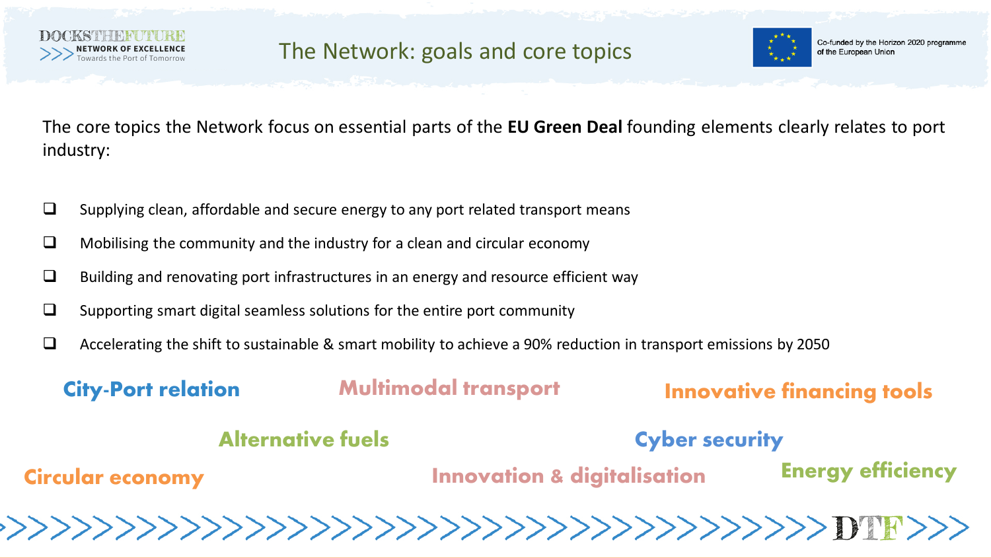



The core topics the Network focus on essential parts of the **EU Green Deal** founding elements clearly relates to port industry:

- $\square$  Supplying clean, affordable and secure energy to any port related transport means
- $\Box$  Mobilising the community and the industry for a clean and circular economy
- $\Box$  Building and renovating port infrastructures in an energy and resource efficient way
- $\square$  Supporting smart digital seamless solutions for the entire port community
- $\Box$  Accelerating the shift to sustainable & smart mobility to achieve a 90% reduction in transport emissions by 2050

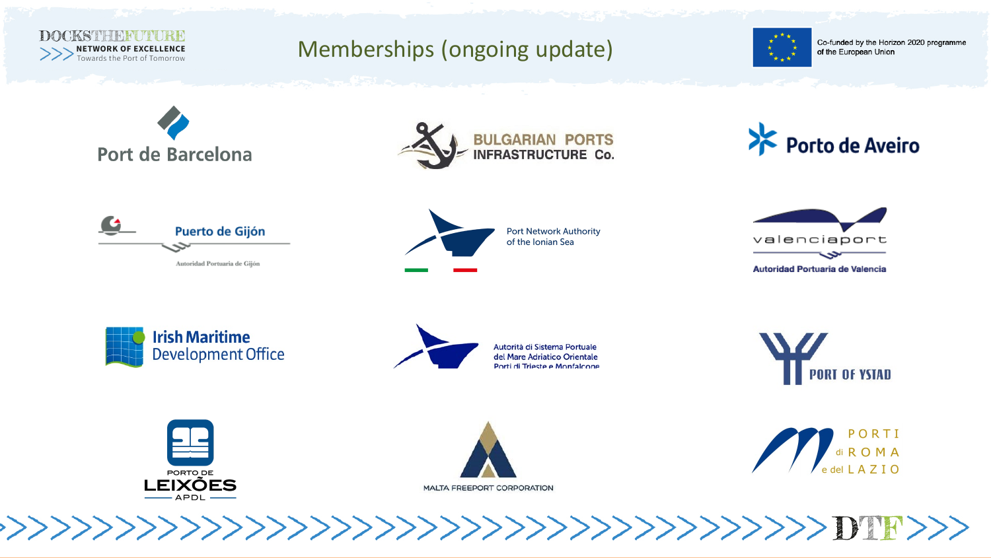

## Memberships (ongoing update)



Co-funded by the Horizon 2020 programme of the European Union













**Irish Maritime Development Office** 



Autorità di Sistema Portuale del Mare Adriatico Orientale Porti di Trieste e Monfalcone







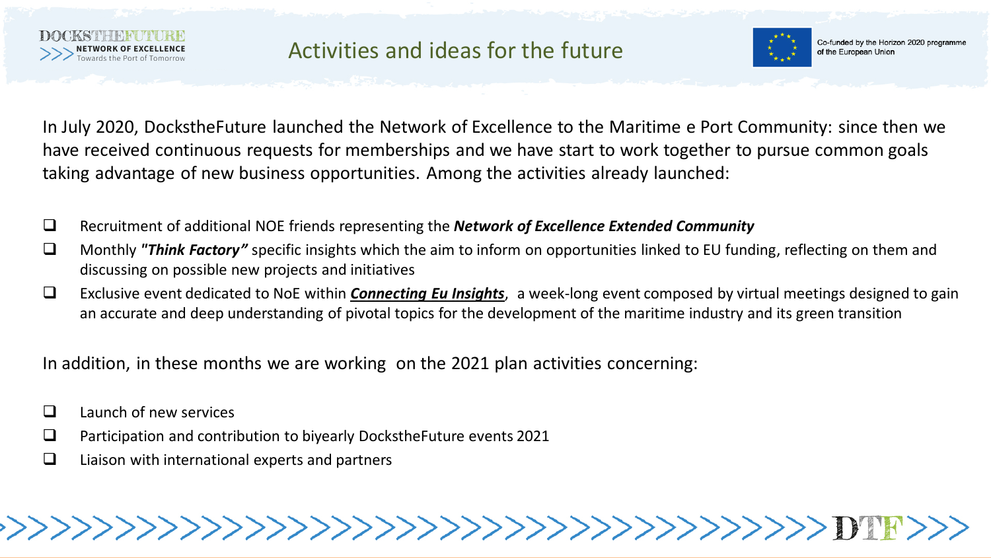



In July 2020, DockstheFuture launched the Network of Excellence to the Maritime e Port Community: since then we have received continuous requests for memberships and we have start to work together to pursue common goals taking advantage of new business opportunities. Among the activities already launched:

- Recruitment of additional NOE friends representing the *Network of Excellence Extended Community*
- Monthly *"Think Factory"* specific insights which the aim to inform on opportunities linked to EU funding, reflecting on them and discussing on possible new projects and initiatives

 Exclusive event dedicated to NoE within *[Connecting Eu Insights](https://www.connectingeuinsights.net/)*, a week-long event composed by virtual meetings designed to gain an accurate and deep understanding of pivotal topics for the development of the maritime industry and its green transition

In addition, in these months we are working on the 2021 plan activities concerning:

- $\Box$  Launch of new services
- **Participation and contribution to biyearly DockstheFuture events 2021**
- $\Box$  Liaison with international experts and partners